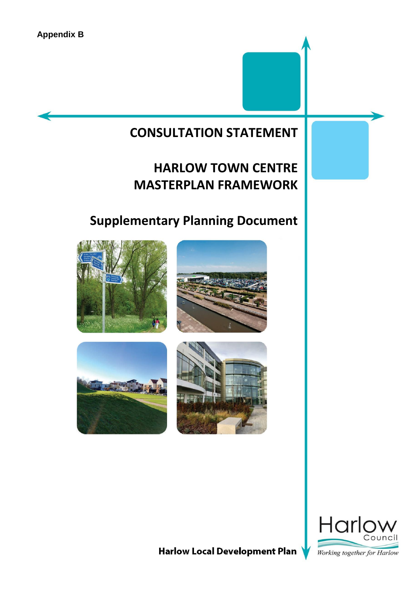# **CONSULTATION STATEMENT**

# **HARLOW TOWN CENTRE MASTERPLAN FRAMEWORK**

# **Supplementary Planning Document**











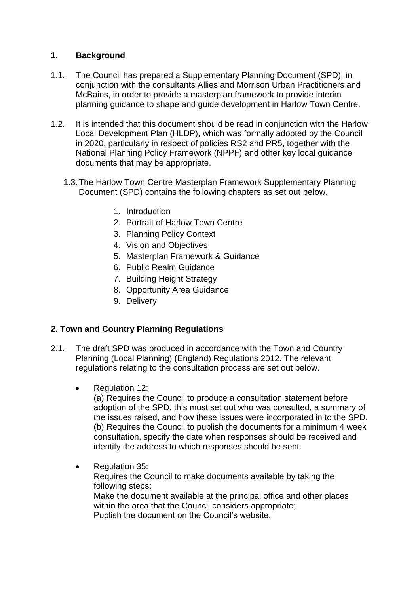## **1. Background**

- 1.1. The Council has prepared a Supplementary Planning Document (SPD), in conjunction with the consultants Allies and Morrison Urban Practitioners and McBains, in order to provide a masterplan framework to provide interim planning guidance to shape and guide development in Harlow Town Centre.
- 1.2. It is intended that this document should be read in conjunction with the Harlow Local Development Plan (HLDP), which was formally adopted by the Council in 2020, particularly in respect of policies RS2 and PR5, together with the National Planning Policy Framework (NPPF) and other key local guidance documents that may be appropriate.
	- 1.3.The Harlow Town Centre Masterplan Framework Supplementary Planning Document (SPD) contains the following chapters as set out below.
		- 1. Introduction
		- 2. Portrait of Harlow Town Centre
		- 3. Planning Policy Context
		- 4. Vision and Objectives
		- 5. Masterplan Framework & Guidance
		- 6. Public Realm Guidance
		- 7. Building Height Strategy
		- 8. Opportunity Area Guidance
		- 9. Delivery

## **2. Town and Country Planning Regulations**

- 2.1. The draft SPD was produced in accordance with the Town and Country Planning (Local Planning) (England) Regulations 2012. The relevant regulations relating to the consultation process are set out below.
	- Regulation 12:

(a) Requires the Council to produce a consultation statement before adoption of the SPD, this must set out who was consulted, a summary of the issues raised, and how these issues were incorporated in to the SPD. (b) Requires the Council to publish the documents for a minimum 4 week consultation, specify the date when responses should be received and identify the address to which responses should be sent.

• Regulation 35: Requires the Council to make documents available by taking the following steps; Make the document available at the principal office and other places within the area that the Council considers appropriate; Publish the document on the Council's website.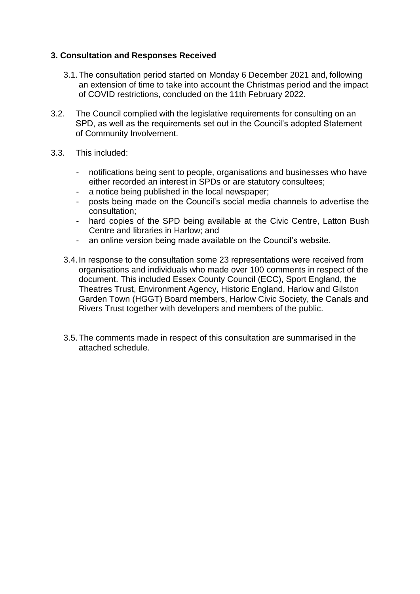## **3. Consultation and Responses Received**

- 3.1.The consultation period started on Monday 6 December 2021 and, following an extension of time to take into account the Christmas period and the impact of COVID restrictions, concluded on the 11th February 2022.
- 3.2. The Council complied with the legislative requirements for consulting on an SPD, as well as the requirements set out in the Council's adopted Statement of Community Involvement.
- 3.3. This included:
	- notifications being sent to people, organisations and businesses who have either recorded an interest in SPDs or are statutory consultees;
	- a notice being published in the local newspaper;
	- posts being made on the Council's social media channels to advertise the consultation;
	- hard copies of the SPD being available at the Civic Centre, Latton Bush Centre and libraries in Harlow; and
	- an online version being made available on the Council's website.
	- 3.4.In response to the consultation some 23 representations were received from organisations and individuals who made over 100 comments in respect of the document. This included Essex County Council (ECC), Sport England, the Theatres Trust, Environment Agency, Historic England, Harlow and Gilston Garden Town (HGGT) Board members, Harlow Civic Society, the Canals and Rivers Trust together with developers and members of the public.
	- 3.5.The comments made in respect of this consultation are summarised in the attached schedule.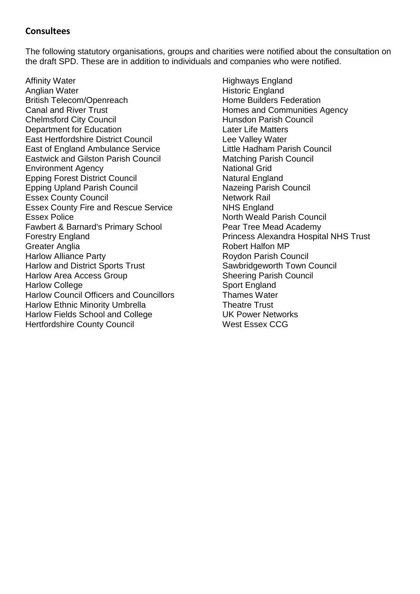# **Consultees**

The following statutory organisations, groups and charities were notified about the consultation on the draft SPD. These are in addition to individuals and companies who were notified.

Affinity Water Anglian Water British Telecom/Openreach Canal and River Trust Chelmsford City Council Department for Education East Hertfordshire District Council East of England Ambulance Service Eastwick and Gilston Parish Council Environment Agency Epping Forest District Council Epping Upland Parish Council Essex County Council Essex County Fire and Rescue Service Essex Police Fawbert & Barnard's Primary School Forestry England Greater Anglia Harlow Alliance Party Harlow and District Sports Trust Harlow Area Access Group Harlow College Harlow Council Officers and Councillors Harlow Ethnic Minority Umbrella Harlow Fields School and College Hertfordshire County Council

Highways England Historic England Home Builders Federation Homes and Communities Agency Hunsdon Parish Council Later Life Matters Lee Valley Water Little Hadham Parish Council Matching Parish Council National Grid Natural England Nazeing Parish Council Network Rail NHS England North Weald Parish Council Pear Tree Mead Academy Princess Alexandra Hospital NHS Trust Robert Halfon MP Roydon Parish Council Sawbridgeworth Town Council Sheering Parish Council Sport England Thames Water Theatre Trust UK Power Networks West Essex CCG